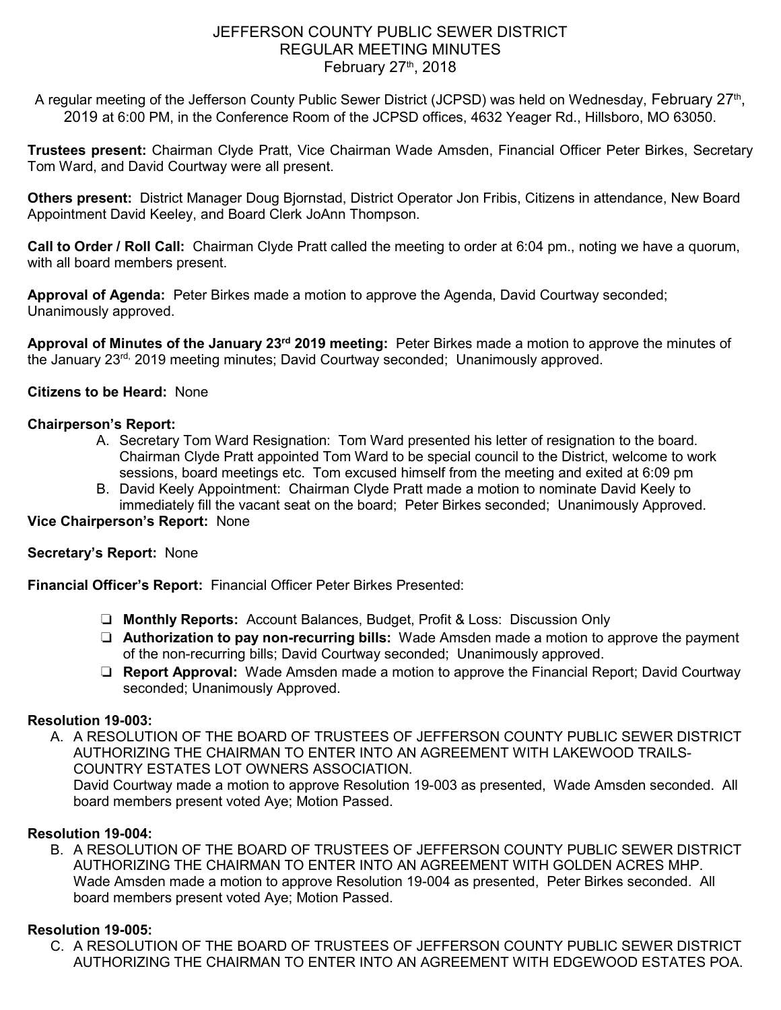## JEFFERSON COUNTY PUBLIC SEWER DISTRICT REGULAR MEETING MINUTES February  $27<sup>th</sup>$ , 2018

A regular meeting of the Jefferson County Public Sewer District (JCPSD) was held on Wednesday, February 27th, 2019 at 6:00 PM, in the Conference Room of the JCPSD offices, 4632 Yeager Rd., Hillsboro, MO 63050.

**Trustees present:** Chairman Clyde Pratt, Vice Chairman Wade Amsden, Financial Officer Peter Birkes, Secretary Tom Ward, and David Courtway were all present.

**Others present:** District Manager Doug Bjornstad, District Operator Jon Fribis, Citizens in attendance, New Board Appointment David Keeley, and Board Clerk JoAnn Thompson.

**Call to Order / Roll Call:** Chairman Clyde Pratt called the meeting to order at 6:04 pm., noting we have a quorum, with all board members present.

**Approval of Agenda:** Peter Birkes made a motion to approve the Agenda, David Courtway seconded; Unanimously approved.

**Approval of Minutes of the January 23rd 2019 meeting:** Peter Birkes made a motion to approve the minutes of the January 23rd, 2019 meeting minutes; David Courtway seconded; Unanimously approved.

## **Citizens to be Heard:** None

### **Chairperson's Report:**

- A. Secretary Tom Ward Resignation: Tom Ward presented his letter of resignation to the board. Chairman Clyde Pratt appointed Tom Ward to be special council to the District, welcome to work sessions, board meetings etc. Tom excused himself from the meeting and exited at 6:09 pm
- B. David Keely Appointment: Chairman Clyde Pratt made a motion to nominate David Keely to immediately fill the vacant seat on the board; Peter Birkes seconded; Unanimously Approved.

# **Vice Chairperson's Report:** None

## **Secretary's Report:** None

**Financial Officer's Report:** Financial Officer Peter Birkes Presented:

- ❏ **Monthly Reports:** Account Balances, Budget, Profit & Loss: Discussion Only
- ❏ **Authorization to pay non-recurring bills:** Wade Amsden made a motion to approve the payment of the non-recurring bills; David Courtway seconded; Unanimously approved.
- ❏ **Report Approval:** Wade Amsden made a motion to approve the Financial Report; David Courtway seconded; Unanimously Approved.

#### **Resolution 19-003:**

A. A RESOLUTION OF THE BOARD OF TRUSTEES OF JEFFERSON COUNTY PUBLIC SEWER DISTRICT AUTHORIZING THE CHAIRMAN TO ENTER INTO AN AGREEMENT WITH LAKEWOOD TRAILS-COUNTRY ESTATES LOT OWNERS ASSOCIATION.

David Courtway made a motion to approve Resolution 19-003 as presented, Wade Amsden seconded. All board members present voted Aye; Motion Passed.

## **Resolution 19-004:**

B. A RESOLUTION OF THE BOARD OF TRUSTEES OF JEFFERSON COUNTY PUBLIC SEWER DISTRICT AUTHORIZING THE CHAIRMAN TO ENTER INTO AN AGREEMENT WITH GOLDEN ACRES MHP. Wade Amsden made a motion to approve Resolution 19-004 as presented, Peter Birkes seconded. All board members present voted Aye; Motion Passed.

## **Resolution 19-005:**

C. A RESOLUTION OF THE BOARD OF TRUSTEES OF JEFFERSON COUNTY PUBLIC SEWER DISTRICT AUTHORIZING THE CHAIRMAN TO ENTER INTO AN AGREEMENT WITH EDGEWOOD ESTATES POA.